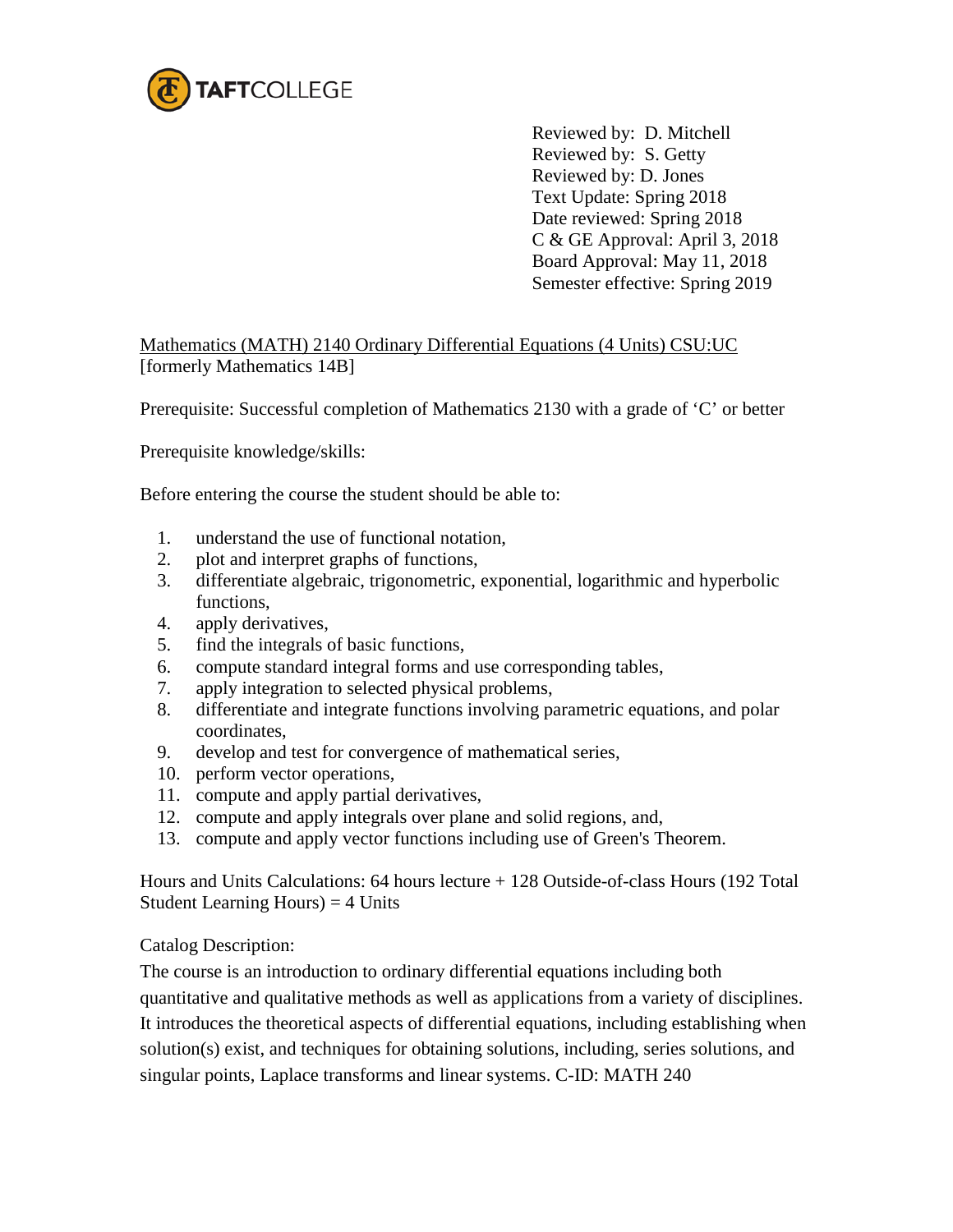

Reviewed by: D. Mitchell Reviewed by: S. Getty Reviewed by: D. Jones Text Update: Spring 2018 Date reviewed: Spring 2018 C & GE Approval: April 3, 2018 Board Approval: May 11, 2018 Semester effective: Spring 2019

Mathematics (MATH) 2140 Ordinary Differential Equations (4 Units) CSU:UC [formerly Mathematics 14B]

Prerequisite: Successful completion of Mathematics 2130 with a grade of 'C' or better

Prerequisite knowledge/skills:

Before entering the course the student should be able to:

- 1. understand the use of functional notation,
- 2. plot and interpret graphs of functions,
- 3. differentiate algebraic, trigonometric, exponential, logarithmic and hyperbolic functions,
- 4. apply derivatives,
- 5. find the integrals of basic functions,
- 6. compute standard integral forms and use corresponding tables,
- 7. apply integration to selected physical problems,
- 8. differentiate and integrate functions involving parametric equations, and polar coordinates,
- 9. develop and test for convergence of mathematical series,
- 10. perform vector operations,
- 11. compute and apply partial derivatives,
- 12. compute and apply integrals over plane and solid regions, and,
- 13. compute and apply vector functions including use of Green's Theorem.

Hours and Units Calculations: 64 hours lecture + 128 Outside-of-class Hours (192 Total Student Learning Hours)  $=$  4 Units

Catalog Description:

The course is an introduction to ordinary differential equations including both

quantitative and qualitative methods as well as applications from a variety of disciplines. It introduces the theoretical aspects of differential equations, including establishing when solution(s) exist, and techniques for obtaining solutions, including, series solutions, and singular points, Laplace transforms and linear systems. C-ID: MATH 240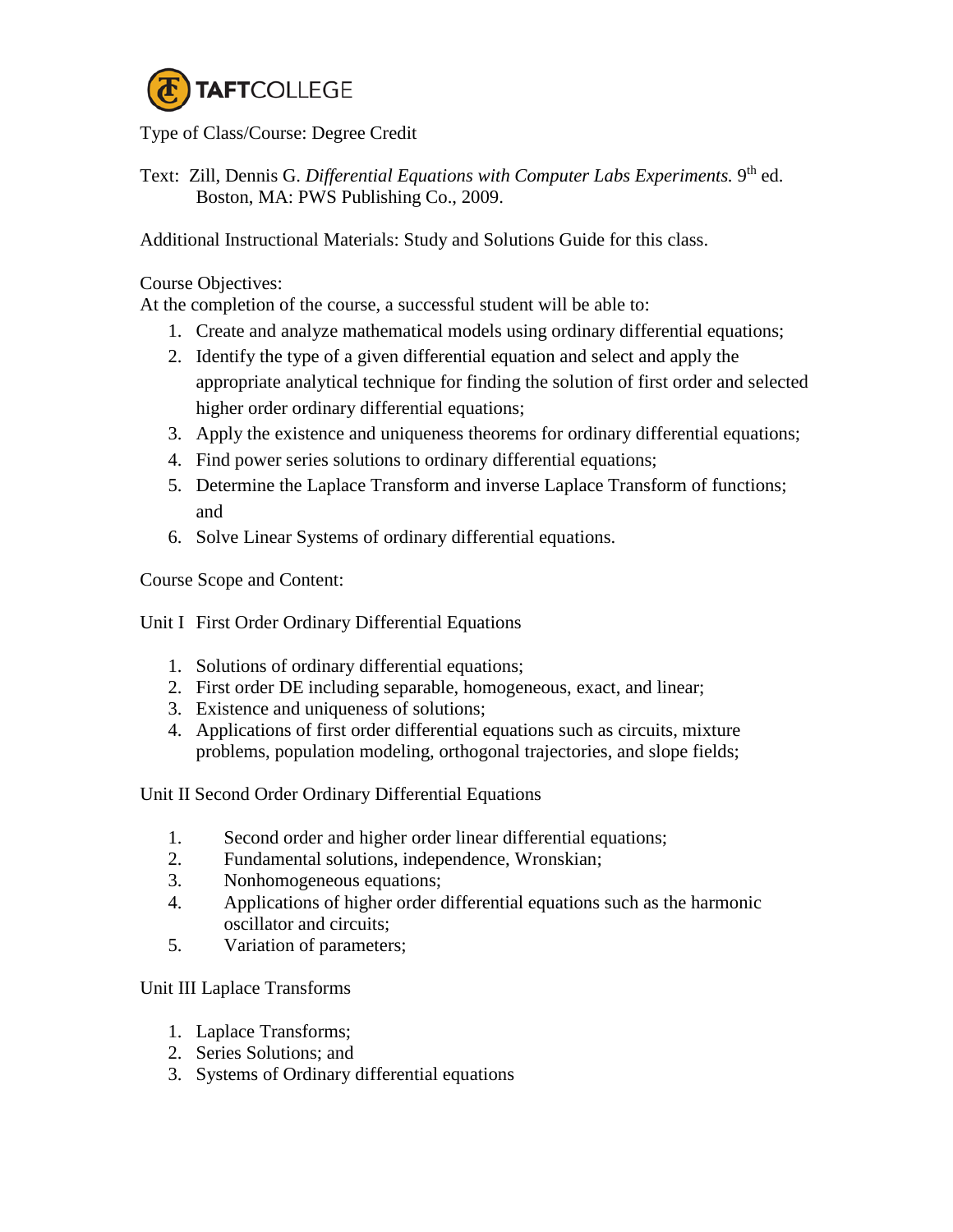

## Type of Class/Course: Degree Credit

Text: Zill, Dennis G. *Differential Equations with Computer Labs Experiments*. 9<sup>th</sup> ed. Boston, MA: PWS Publishing Co., 2009.

Additional Instructional Materials: Study and Solutions Guide for this class.

Course Objectives:

At the completion of the course, a successful student will be able to:

- 1. Create and analyze mathematical models using ordinary differential equations;
- 2. Identify the type of a given differential equation and select and apply the appropriate analytical technique for finding the solution of first order and selected higher order ordinary differential equations;
- 3. Apply the existence and uniqueness theorems for ordinary differential equations;
- 4. Find power series solutions to ordinary differential equations;
- 5. Determine the Laplace Transform and inverse Laplace Transform of functions; and
- 6. Solve Linear Systems of ordinary differential equations.

Course Scope and Content:

Unit I First Order Ordinary Differential Equations

- 1. Solutions of ordinary differential equations;
- 2. First order DE including separable, homogeneous, exact, and linear;
- 3. Existence and uniqueness of solutions;
- 4. Applications of first order differential equations such as circuits, mixture problems, population modeling, orthogonal trajectories, and slope fields;

Unit II Second Order Ordinary Differential Equations

- 1. Second order and higher order linear differential equations;
- 2. Fundamental solutions, independence, Wronskian;
- 3. Nonhomogeneous equations;
- 4. Applications of higher order differential equations such as the harmonic oscillator and circuits;
- 5. Variation of parameters;

Unit III Laplace Transforms

- 1. Laplace Transforms;
- 2. Series Solutions; and
- 3. Systems of Ordinary differential equations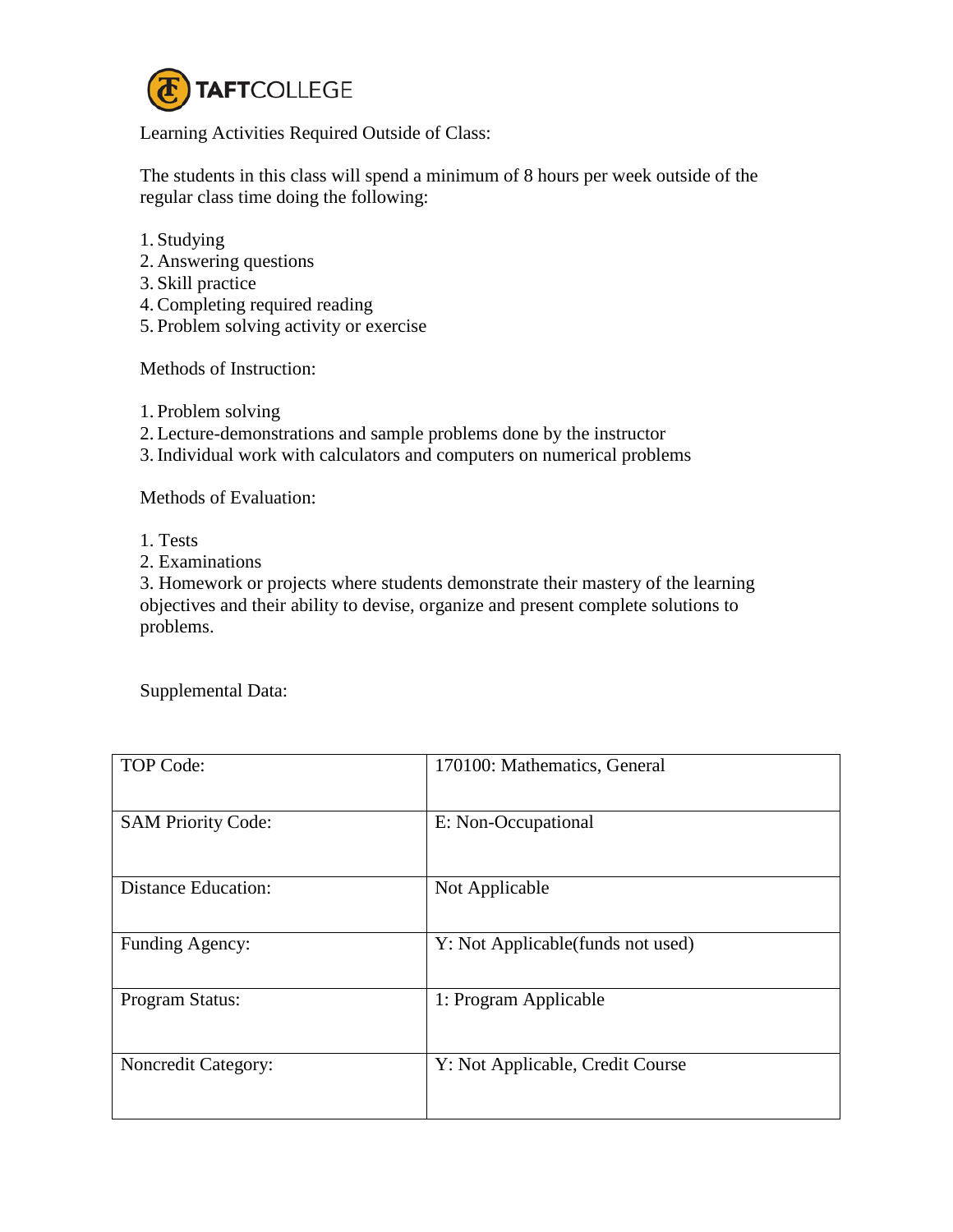

Learning Activities Required Outside of Class:

The students in this class will spend a minimum of 8 hours per week outside of the regular class time doing the following:

- 1. Studying
- 2. Answering questions
- 3. Skill practice
- 4. Completing required reading
- 5. Problem solving activity or exercise

Methods of Instruction:

- 1. Problem solving
- 2. Lecture-demonstrations and sample problems done by the instructor
- 3. Individual work with calculators and computers on numerical problems

Methods of Evaluation:

- 1. Tests
- 2. Examinations

3. Homework or projects where students demonstrate their mastery of the learning objectives and their ability to devise, organize and present complete solutions to problems.

Supplemental Data:

| <b>TOP Code:</b>           | 170100: Mathematics, General       |
|----------------------------|------------------------------------|
| <b>SAM Priority Code:</b>  | E: Non-Occupational                |
| <b>Distance Education:</b> | Not Applicable                     |
| Funding Agency:            | Y: Not Applicable (funds not used) |
| Program Status:            | 1: Program Applicable              |
| <b>Noncredit Category:</b> | Y: Not Applicable, Credit Course   |